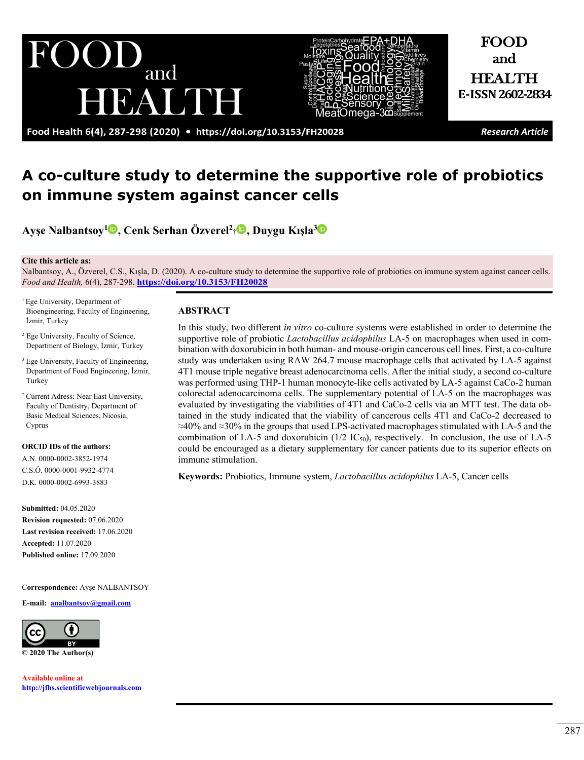**Food Health 6(4), 287-298 (2020) • <https://doi.org/10.3153/FH20028>** *Research Article*

BAME

and

FOOD and

HEALTH **E-ISSN2602-2834**

# **A co-culture study to determine the supportive role of probiotics on immune system against cancer cells**

**Ayşe Nalbantsoy<sup>1</sup> , Cenk Serhan Özverel<sup>2</sup>**[†](http://orcid.org/0000-0001-9932-4774) **, Duygu Kışla[3](http://orcid.org/0000-0002-6993-3883)**

#### **Cite this article as:**

Nalbantsoy, A., Özverel, C.S., Kışla, D. (2020). A co-culture study to determine the supportive role of probiotics on immune system against cancer cells. *Food and Health,* 6(4), 287-298. **<https://doi.org/10.3153/FH20028>**

<sup>1</sup> Ege University, Department of Bioengineering, Faculty of Engineering, İzmir, Turkey

 $\bigcup$ 

- <sup>2</sup> Ege University, Faculty of Science, Department of Biology, İzmir, Turkey
- <sup>3</sup> Ege University, Faculty of Engineering, Department of Food Engineering, İzmir, Turkey
- † Current Adress: Near East University, Faculty of Dentistry, Department of Basic Medical Sciences, Nicosia, Cyprus

#### **ORCID IDs of the authors:**

A.N. 0000-0002-3852-1974 C.S.Ö. 0000-0001-9932-4774 D.K. 0000-0002-6993-3883

**Submitted:** 04.05.2020 **Revision requested:** 07.06.2020 **Last revision received:** 17.06.2020 **Accepted:** 11.07.2020 **Published online:** 17.09.2020

C**orrespondence:** Ayşe NALBANTSOY

**E-mail: [analbantsoy@gmail.com](mailto:analbantsoy@gmail.com)**



**© 2020 The Author(s)** 

**Available online at [http://jfhs.scientificwebjournals.com](http://jfhs.scientificwebjournals.com/)**

#### **ABSTRACT**

In this study, two different *in vitro* co-culture systems were established in order to determine the supportive role of probiotic *Lactobacillus acidophilus* LA-5 on macrophages when used in combination with doxorubicin in both human- and mouse-origin cancerous cell lines. First, a co-culture study was undertaken using RAW 264.7 mouse macrophage cells that activated by LA-5 against 4T1 mouse triple negative breast adenocarcinoma cells. After the initial study, a second co-culture was performed using THP-1 human monocyte-like cells activated by LA-5 against CaCo-2 human colorectal adenocarcinoma cells. The supplementary potential of LA-5 on the macrophages was evaluated by investigating the viabilities of 4T1 and CaCo-2 cells via an MTT test. The data obtained in the study indicated that the viability of cancerous cells 4T1 and CaCo-2 decreased to  $\approx$ 40% and  $\approx$ 30% in the groups that used LPS-activated macrophages stimulated with LA-5 and the combination of LA-5 and doxorubicin  $(1/2 \text{ IC}_{50})$ , respectively. In conclusion, the use of LA-5 could be encouraged as a dietary supplementary for cancer patients due to its superior effects on immune stimulation.

**Keywords:** Probiotics, Immune system, *Lactobacillus acidophilus* LA-5, Cancer cells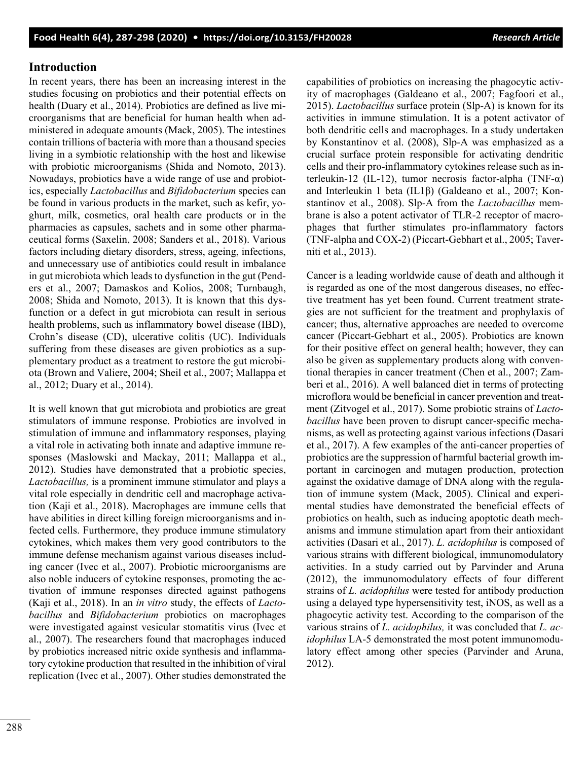## **Introduction**

In recent years, there has been an increasing interest in the studies focusing on probiotics and their potential effects on health (Duary et al., 2014). Probiotics are defined as live microorganisms that are beneficial for human health when administered in adequate amounts (Mack, 2005). The intestines contain trillions of bacteria with more than a thousand species living in a symbiotic relationship with the host and likewise with probiotic microorganisms (Shida and Nomoto, 2013). Nowadays, probiotics have a wide range of use and probiotics, especially *Lactobacillus* and *Bifidobacterium* species can be found in various products in the market, such as kefir, yoghurt, milk, cosmetics, oral health care products or in the pharmacies as capsules, sachets and in some other pharmaceutical forms (Saxelin, 2008; Sanders et al., 2018). Various factors including dietary disorders, stress, ageing, infections, and unnecessary use of antibiotics could result in imbalance in gut microbiota which leads to dysfunction in the gut (Penders et al., 2007; Damaskos and Kolios, 2008; Turnbaugh, 2008; Shida and Nomoto, 2013). It is known that this dysfunction or a defect in gut microbiota can result in serious health problems, such as inflammatory bowel disease (IBD), Crohn's disease (CD), ulcerative colitis (UC). Individuals suffering from these diseases are given probiotics as a supplementary product as a treatment to restore the gut microbiota (Brown and Valiere, 2004; Sheil et al., 2007; Mallappa et al., 2012; Duary et al., 2014).

It is well known that gut microbiota and probiotics are great stimulators of immune response. Probiotics are involved in stimulation of immune and inflammatory responses, playing a vital role in activating both innate and adaptive immune responses (Maslowski and Mackay, 2011; Mallappa et al., 2012). Studies have demonstrated that a probiotic species, *Lactobacillus,* is a prominent immune stimulator and plays a vital role especially in dendritic cell and macrophage activation (Kaji et al., 2018). Macrophages are immune cells that have abilities in direct killing foreign microorganisms and infected cells. Furthermore, they produce immune stimulatory cytokines, which makes them very good contributors to the immune defense mechanism against various diseases including cancer (Ivec et al., 2007). Probiotic microorganisms are also noble inducers of cytokine responses, promoting the activation of immune responses directed against pathogens (Kaji et al., 2018). In an *in vitro* study, the effects of *Lactobacillus* and *Bifidobacterium* probiotics on macrophages were investigated against vesicular stomatitis virus (Ivec et al., 2007). The researchers found that macrophages induced by probiotics increased nitric oxide synthesis and inflammatory cytokine production that resulted in the inhibition of viral replication (Ivec et al., 2007). Other studies demonstrated the capabilities of probiotics on increasing the phagocytic activity of macrophages (Galdeano et al., 2007; Fagfoori et al., 2015). *Lactobacillus* surface protein (Slp-A) is known for its activities in immune stimulation. It is a potent activator of both dendritic cells and macrophages. In a study undertaken by Konstantinov et al. (2008), Slp-A was emphasized as a crucial surface protein responsible for activating dendritic cells and their pro-inflammatory cytokines release such as interleukin-12 (IL-12), tumor necrosis factor-alpha (TNF- $\alpha$ ) and Interleukin 1 beta (IL1β) (Galdeano et al., 2007; Konstantinov et al., 2008). Slp-A from the *Lactobacillus* membrane is also a potent activator of TLR-2 receptor of macrophages that further stimulates pro-inflammatory factors (TNF-alpha and COX-2) (Piccart-Gebhart et al., 2005; Taverniti et al., 2013).

Cancer is a leading worldwide cause of death and although it is regarded as one of the most dangerous diseases, no effective treatment has yet been found. Current treatment strategies are not sufficient for the treatment and prophylaxis of cancer; thus, alternative approaches are needed to overcome cancer (Piccart-Gebhart et al., 2005). Probiotics are known for their positive effect on general health; however, they can also be given as supplementary products along with conventional therapies in cancer treatment (Chen et al., 2007; Zamberi et al., 2016). A well balanced diet in terms of protecting microflora would be beneficial in cancer prevention and treatment (Zitvogel et al., 2017). Some probiotic strains of *Lactobacillus* have been proven to disrupt cancer-specific mechanisms, as well as protecting against various infections (Dasari et al., 2017). A few examples of the anti-cancer properties of probiotics are the suppression of harmful bacterial growth important in carcinogen and mutagen production, protection against the oxidative damage of DNA along with the regulation of immune system (Mack, 2005). Clinical and experimental studies have demonstrated the beneficial effects of probiotics on health, such as inducing apoptotic death mechanisms and immune stimulation apart from their antioxidant activities (Dasari et al., 2017). *L. acidophilus* is composed of various strains with different biological, immunomodulatory activities. In a study carried out by Parvinder and Aruna (2012), the immunomodulatory effects of four different strains of *L. acidophilus* were tested for antibody production using a delayed type hypersensitivity test, iNOS, as well as a phagocytic activity test. According to the comparison of the various strains of *L. acidophilus,* it was concluded that *L. acidophilus* LA-5 demonstrated the most potent immunomodulatory effect among other species (Parvinder and Aruna, 2012).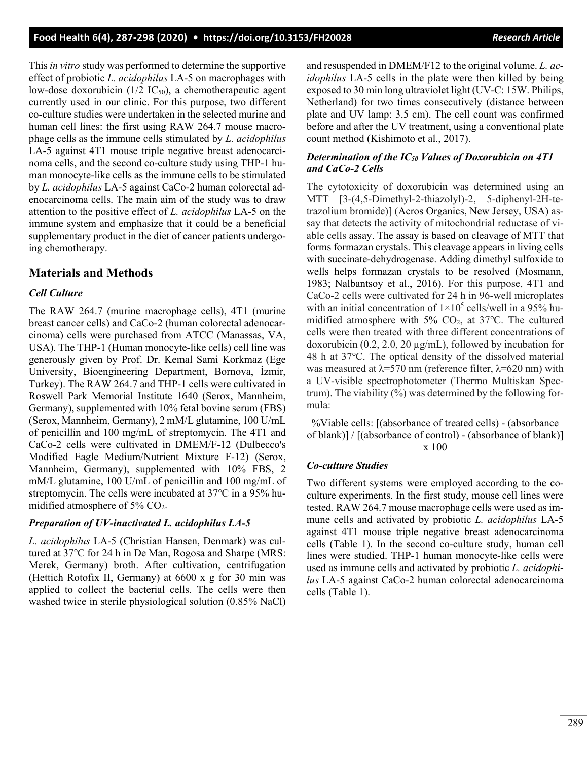This *in vitro* study was performed to determine the supportive effect of probiotic *L. acidophilus* LA-5 on macrophages with low-dose doxorubicin ( $1/2$  IC<sub>50</sub>), a chemotherapeutic agent currently used in our clinic. For this purpose, two different co-culture studies were undertaken in the selected murine and human cell lines: the first using RAW 264.7 mouse macrophage cells as the immune cells stimulated by *L. acidophilus*  LA-5 against 4T1 mouse triple negative breast adenocarcinoma cells, and the second co-culture study using THP-1 human monocyte-like cells as the immune cells to be stimulated by *L. acidophilus* LA-5 against CaCo-2 human colorectal adenocarcinoma cells. The main aim of the study was to draw attention to the positive effect of *L. acidophilus* LA-5 on the immune system and emphasize that it could be a beneficial supplementary product in the diet of cancer patients undergoing chemotherapy.

# **Materials and Methods**

#### *Cell Culture*

The RAW 264.7 (murine macrophage cells), 4T1 (murine breast cancer cells) and CaCo-2 (human colorectal adenocarcinoma) cells were purchased from ATCC (Manassas, VA, USA). The THP-1 (Human monocyte-like cells) cell line was generously given by Prof. Dr. Kemal Sami Korkmaz (Ege University, Bioengineering Department, Bornova, İzmir, Turkey). The RAW 264.7 and THP-1 cells were cultivated in Roswell Park Memorial Institute 1640 (Serox, Mannheim, Germany), supplemented with 10% fetal bovine serum (FBS) (Serox, Mannheim, Germany), 2 mM/L glutamine, 100 U/mL of penicillin and 100 mg/mL of streptomycin. The 4T1 and CaCo-2 cells were cultivated in DMEM/F-12 (Dulbecco's Modified Eagle Medium/Nutrient Mixture F-12) (Serox, Mannheim, Germany), supplemented with 10% FBS, 2 mM/L glutamine, 100 U/mL of penicillin and 100 mg/mL of streptomycin. The cells were incubated at 37℃ in a 95% humidified atmosphere of  $5\%$  CO<sub>2</sub>.

#### *Preparation of UV-inactivated L. acidophilus LA-5*

*L. acidophilus* LA-5 (Christian Hansen, Denmark) was cultured at 37℃ for 24 h in De Man, Rogosa and Sharpe (MRS: Merek, Germany) broth. After cultivation, centrifugation (Hettich Rotofix II, Germany) at 6600 x g for 30 min was applied to collect the bacterial cells. The cells were then washed twice in sterile physiological solution (0.85% NaCl) and resuspended in DMEM/F12 to the original volume. *L. acidophilus* LA-5 cells in the plate were then killed by being exposed to 30 min long ultraviolet light (UV-C: 15W. Philips, Netherland) for two times consecutively (distance between plate and UV lamp: 3.5 cm). The cell count was confirmed before and after the UV treatment, using a conventional plate count method (Kishimoto et al., 2017).

#### *Determination of the IC50 Values of Doxorubicin on 4T1 and CaCo-2 Cells*

The cytotoxicity of doxorubicin was determined using an MTT [3-(4,5-Dimethyl-2-thiazolyl)-2, 5-diphenyl-2H-tetrazolium bromide)] (Acros Organics, New Jersey, USA) assay that detects the activity of mitochondrial reductase of viable cells assay. The assay is based on cleavage of MTT that forms formazan crystals. This cleavage appears in living cells with succinate-dehydrogenase. Adding dimethyl sulfoxide to wells helps formazan crystals to be resolved (Mosmann, 1983; Nalbantsoy et al., 2016). For this purpose, 4T1 and CaCo-2 cells were cultivated for 24 h in 96-well microplates with an initial concentration of  $1\times10^5$  cells/well in a 95% humidified atmosphere with 5%  $CO<sub>2</sub>$ , at 37°C. The cultured cells were then treated with three different concentrations of doxorubicin (0.2, 2.0, 20 µg/mL), followed by incubation for 48 h at 37℃. The optical density of the dissolved material was measured at  $\lambda$ =570 nm (reference filter,  $\lambda$ =620 nm) with a UV-visible spectrophotometer (Thermo Multiskan Spectrum). The viability (%) was determined by the following formula:

%Viable cells: [(absorbance of treated cells) - (absorbance of blank)] / [(absorbance of control) - (absorbance of blank)] x 100

#### *Co-culture Studies*

Two different systems were employed according to the coculture experiments. In the first study, mouse cell lines were tested. RAW 264.7 mouse macrophage cells were used as immune cells and activated by probiotic *L. acidophilus* LA-5 against 4T1 mouse triple negative breast adenocarcinoma cells (Table 1). In the second co-culture study, human cell lines were studied. THP-1 human monocyte-like cells were used as immune cells and activated by probiotic *L. acidophilus* LA-5 against CaCo-2 human colorectal adenocarcinoma cells (Table 1).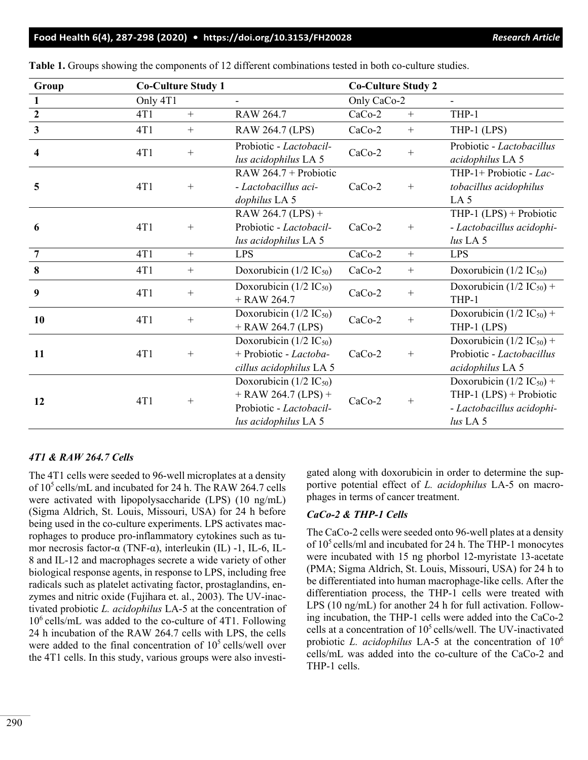#### **Food Health 6(4), 287-298 (2020) • <https://doi.org/10.3153/FH20028>** *Research Article*

| Group                   | <b>Co-Culture Study 1</b> |        |                                                                                                                    | <b>Co-Culture Study 2</b> |        |                                                                                                       |
|-------------------------|---------------------------|--------|--------------------------------------------------------------------------------------------------------------------|---------------------------|--------|-------------------------------------------------------------------------------------------------------|
| $\mathbf{1}$            | Only 4T1                  |        | $\blacksquare$                                                                                                     | Only CaCo-2               |        | $\overline{\phantom{0}}$                                                                              |
| $\overline{2}$          | 4T1                       | $+$    | <b>RAW 264.7</b>                                                                                                   | $CaCo-2$                  | $^{+}$ | THP-1                                                                                                 |
| $\overline{\mathbf{3}}$ | 4T1                       | $^{+}$ | RAW 264.7 (LPS)                                                                                                    | CaCo-2                    | $^{+}$ | THP-1 $(LPS)$                                                                                         |
| 4                       | 4T1                       | $^{+}$ | Probiotic - Lactobacil-<br>lus acidophilus LA 5                                                                    | $CaCo-2$                  | $^{+}$ | Probiotic - Lactobacillus<br>acidophilus LA 5                                                         |
| 5                       | 4T1                       | $^{+}$ | RAW 264.7 + Probiotic<br>- Lactobacillus aci-<br>dophilus LA 5                                                     | $CaCo-2$                  | $^{+}$ | THP-1+ Probiotic - Lac-<br>tobacillus acidophilus<br>LA <sub>5</sub>                                  |
| 6                       | 4T1                       | $^{+}$ | RAW 264.7 (LPS) +<br>Probiotic - Lactobacil-<br>lus acidophilus LA 5                                               | $CaCo-2$                  | $^{+}$ | THP-1 $(LPS)$ + Probiotic<br>- Lactobacillus acidophi-<br>$lus$ LA 5                                  |
| $\overline{7}$          | 4T1                       | $+$    | <b>LPS</b>                                                                                                         | $CaCo-2$                  | $^{+}$ | <b>LPS</b>                                                                                            |
| 8                       | 4T1                       |        | Doxorubicin ( $1/2$ IC <sub>50</sub> )                                                                             | $CaCo-2$                  | $^{+}$ | Doxorubicin ( $1/2$ IC <sub>50</sub> )                                                                |
| 9                       | 4T1                       | $^{+}$ | Doxorubicin ( $1/2$ IC <sub>50</sub> )<br>$+$ RAW 264.7                                                            | CaCo-2                    | $^{+}$ | Doxorubicin ( $1/2$ IC <sub>50</sub> ) +<br>THP-1                                                     |
| 10                      | 4T1                       | $^{+}$ | Doxorubicin ( $1/2$ IC <sub>50</sub> )<br>$+$ RAW 264.7 (LPS)                                                      | $CaCo-2$                  | $^{+}$ | Doxorubicin ( $1/2$ IC <sub>50</sub> ) +<br>THP-1 (LPS)                                               |
| 11                      | 4T1                       | $^{+}$ | Doxorubicin $(1/2$ IC <sub>50</sub> )<br>+ Probiotic - Lactoba-<br>cillus acidophilus LA 5                         | $CaCo-2$                  | $+$    | Doxorubicin (1/2 IC <sub>50</sub> ) +<br>Probiotic - Lactobacillus<br>acidophilus LA 5                |
| 12                      | 4T1                       | $^{+}$ | Doxorubicin ( $1/2$ IC <sub>50</sub> )<br>$+$ RAW 264.7 (LPS) +<br>Probiotic - Lactobacil-<br>lus acidophilus LA 5 | $CaCo-2$                  | $^{+}$ | Doxorubicin $(1/2 IC_{50}) +$<br>THP-1 $(LPS)$ + Probiotic<br>- Lactobacillus acidophi-<br>$lus$ LA 5 |

**Table 1.** Groups showing the components of 12 different combinations tested in both co-culture studies.

## *4T1 & RAW 264.7 Cells*

The 4T1 cells were seeded to 96-well microplates at a density of  $10^5$  cells/mL and incubated for 24 h. The RAW 264.7 cells were activated with lipopolysaccharide (LPS) (10 ng/mL) (Sigma Aldrich, St. Louis, Missouri, USA) for 24 h before being used in the co-culture experiments. LPS activates macrophages to produce pro-inflammatory cytokines such as tumor necrosis factor-α (TNF-α), interleukin (IL) -1, IL-6, IL-8 and IL-12 and macrophages secrete a wide variety of other biological response agents, in response to LPS, including free radicals such as platelet activating factor, prostaglandins, enzymes and nitric oxide (Fujihara et. al., 2003). The UV-inactivated probiotic *L. acidophilus* LA-5 at the concentration of  $10^6$  cells/mL was added to the co-culture of 4T1. Following 24 h incubation of the RAW 264.7 cells with LPS, the cells were added to the final concentration of  $10<sup>5</sup>$  cells/well over the 4T1 cells. In this study, various groups were also investigated along with doxorubicin in order to determine the supportive potential effect of *L. acidophilus* LA-5 on macrophages in terms of cancer treatment.

#### *CaCo-2 & THP-1 Cells*

The CaCo-2 cells were seeded onto 96-well plates at a density of  $10^5$  cells/ml and incubated for 24 h. The THP-1 monocytes were incubated with 15 ng phorbol 12-myristate 13-acetate (PMA; Sigma Aldrich, St. Louis, Missouri, USA) for 24 h to be differentiated into human macrophage-like cells. After the differentiation process, the THP-1 cells were treated with LPS (10 ng/mL) for another 24 h for full activation. Following incubation, the THP-1 cells were added into the CaCo-2 cells at a concentration of  $10^5$  cells/well. The UV-inactivated probiotic *L. acidophilus* LA-5 at the concentration of 106 cells/mL was added into the co-culture of the CaCo-2 and THP-1 cells.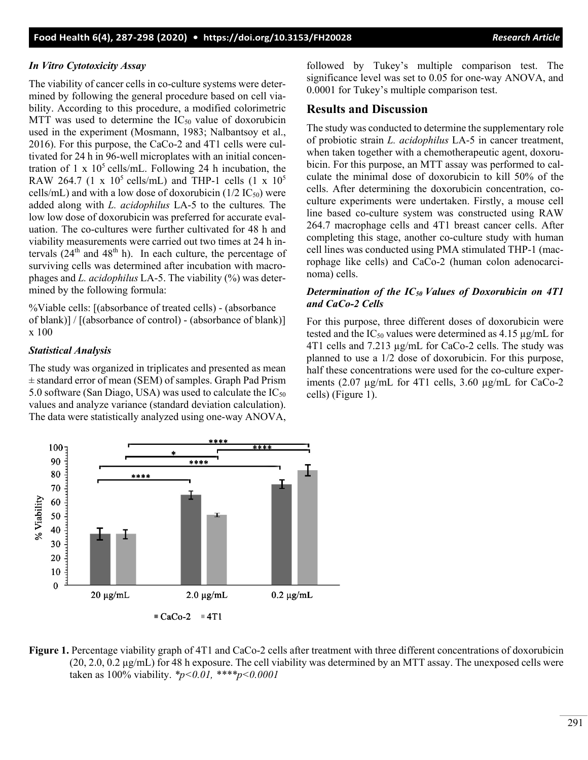#### *In Vitro Cytotoxicity Assay*

The viability of cancer cells in co-culture systems were determined by following the general procedure based on cell viability. According to this procedure, a modified colorimetric MTT was used to determine the  $IC_{50}$  value of doxorubicin used in the experiment (Mosmann, 1983; Nalbantsoy et al., 2016). For this purpose, the CaCo-2 and 4T1 cells were cultivated for 24 h in 96-well microplates with an initial concentration of 1 x  $10<sup>5</sup>$  cells/mL. Following 24 h incubation, the RAW 264.7 (1 x  $10^5$  cells/mL) and THP-1 cells (1 x  $10^5$ cells/mL) and with a low dose of doxorubicin ( $1/2$  IC<sub>50</sub>) were added along with *L. acidophilus* LA-5 to the cultures*.* The low low dose of doxorubicin was preferred for accurate evaluation. The co-cultures were further cultivated for 48 h and viability measurements were carried out two times at 24 h intervals  $(24<sup>th</sup>$  and  $48<sup>th</sup>$  h). In each culture, the percentage of surviving cells was determined after incubation with macrophages and *L. acidophilus* LA-5. The viability (%) was determined by the following formula:

%Viable cells: [(absorbance of treated cells) - (absorbance of blank)] / [(absorbance of control) - (absorbance of blank)] x 100

#### *Statistical Analysis*

The study was organized in triplicates and presented as mean ± standard error of mean (SEM) of samples. Graph Pad Prism 5.0 software (San Diago, USA) was used to calculate the  $IC_{50}$ values and analyze variance (standard deviation calculation). The data were statistically analyzed using one-way ANOVA,

followed by Tukey's multiple comparison test. The significance level was set to 0.05 for one-way ANOVA, and 0.0001 for Tukey's multiple comparison test.

## **Results and Discussion**

The study was conducted to determine the supplementary role of probiotic strain *L. acidophilus* LA-5 in cancer treatment, when taken together with a chemotherapeutic agent, doxorubicin. For this purpose, an MTT assay was performed to calculate the minimal dose of doxorubicin to kill 50% of the cells. After determining the doxorubicin concentration, coculture experiments were undertaken. Firstly, a mouse cell line based co-culture system was constructed using RAW 264.7 macrophage cells and 4T1 breast cancer cells. After completing this stage, another co-culture study with human cell lines was conducted using PMA stimulated THP-1 (macrophage like cells) and CaCo-2 (human colon adenocarcinoma) cells.

## *Determination of the IC50 Values of Doxorubicin on 4T1 and CaCo-2 Cells*

For this purpose, three different doses of doxorubicin were tested and the  $IC_{50}$  values were determined as 4.15 µg/mL for 4T1 cells and 7.213 µg/mL for CaCo-2 cells. The study was planned to use a 1/2 dose of doxorubicin. For this purpose, half these concentrations were used for the co-culture experiments (2.07 µg/mL for 4T1 cells, 3.60 µg/mL for CaCo-2 cells) (Figure 1).



**Figure 1.** Percentage viability graph of 4T1 and CaCo-2 cells after treatment with three different concentrations of doxorubicin (20, 2.0, 0.2 µg/mL) for 48 h exposure. The cell viability was determined by an MTT assay. The unexposed cells were taken as 100% viability. *\*p<0.01, \*\*\*\*p<0.0001*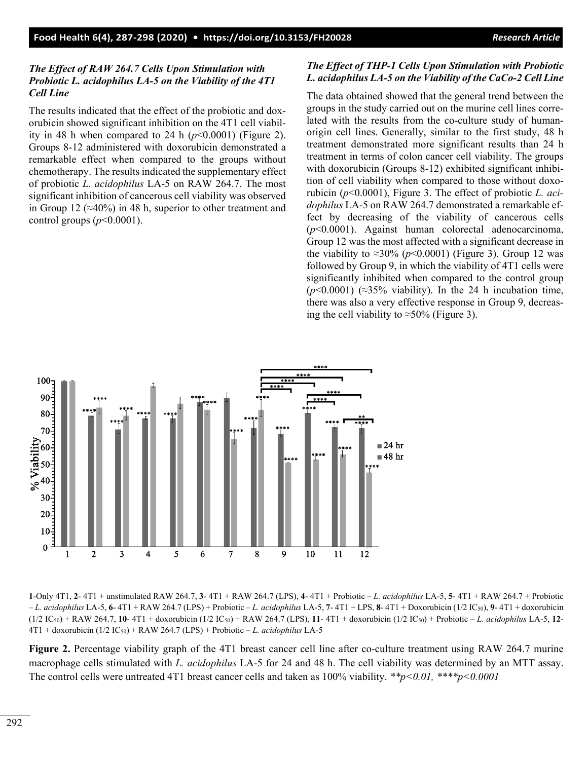## *The Effect of RAW 264.7 Cells Upon Stimulation with Probiotic L. acidophilus LA-5 on the Viability of the 4T1 Cell Line*

The results indicated that the effect of the probiotic and doxorubicin showed significant inhibition on the 4T1 cell viability in 48 h when compared to 24 h  $(p<0.0001)$  (Figure 2). Groups 8-12 administered with doxorubicin demonstrated a remarkable effect when compared to the groups without chemotherapy. The results indicated the supplementary effect of probiotic *L. acidophilus* LA-5 on RAW 264.7. The most significant inhibition of cancerous cell viability was observed in Group 12 ( $\approx$ 40%) in 48 h, superior to other treatment and control groups  $(p<0.0001)$ .

## *The Effect of THP-1 Cells Upon Stimulation with Probiotic L. acidophilus LA-5 on the Viability of the CaCo-2 Cell Line*

The data obtained showed that the general trend between the groups in the study carried out on the murine cell lines correlated with the results from the co-culture study of humanorigin cell lines. Generally, similar to the first study, 48 h treatment demonstrated more significant results than 24 h treatment in terms of colon cancer cell viability. The groups with doxorubicin (Groups 8-12) exhibited significant inhibition of cell viability when compared to those without doxorubicin (*p*<0.0001), Figure 3. The effect of probiotic *L. acidophilus* LA-5 on RAW 264.7 demonstrated a remarkable effect by decreasing of the viability of cancerous cells (*p*<0.0001). Against human colorectal adenocarcinoma, Group 12 was the most affected with a significant decrease in the viability to  $\approx 30\%$  ( $p \le 0.0001$ ) (Figure 3). Group 12 was followed by Group 9, in which the viability of 4T1 cells were significantly inhibited when compared to the control group  $(p<0.0001)$  (≈35% viability). In the 24 h incubation time, there was also a very effective response in Group 9, decreasing the cell viability to  $\approx$ 50% (Figure 3).



**1**-Only 4T1, **2**- 4T1 + unstimulated RAW 264.7, **3**- 4T1 + RAW 264.7 (LPS), **4**- 4T1 + Probiotic – *L. acidophilus* LA-5, **5**- 4T1 + RAW 264.7 + Probiotic – *L. acidophilus* LA-5, **6**- 4T1 + RAW 264.7 (LPS) + Probiotic – *L. acidophilus* LA-5, **7**- 4T1 + LPS, **8**- 4T1 + Doxorubicin (1/2 IC50), **9**- 4T1 + doxorubicin (1/2 IC50) + RAW 264.7, **10**- 4T1 + doxorubicin (1/2 IC50) + RAW 264.7 (LPS), **11**- 4T1 + doxorubicin (1/2 IC50) + Probiotic – *L. acidophilus* LA-5, **12**- 4T1 + doxorubicin (1/2 IC50) + RAW 264.7 (LPS) + Probiotic – *L. acidophilus* LA-5

**Figure 2.** Percentage viability graph of the 4T1 breast cancer cell line after co-culture treatment using RAW 264.7 murine macrophage cells stimulated with *L. acidophilus* LA-5 for 24 and 48 h. The cell viability was determined by an MTT assay. The control cells were untreated 4T1 breast cancer cells and taken as 100% viability. *\*\*p<0.01, \*\*\*\*p<0.0001*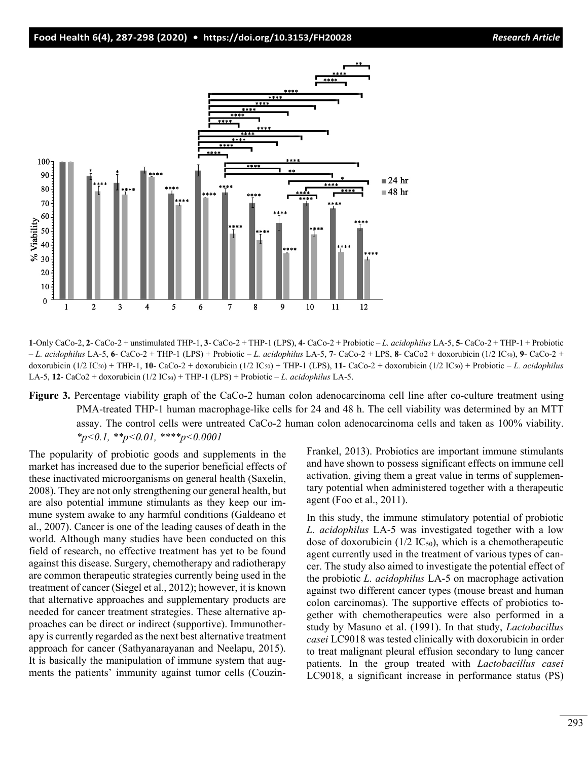#### **Food Health 6(4), 287-298 (2020) • <https://doi.org/10.3153/FH20028>** *Research Article*



**1**-Only CaCo-2, **2**- CaCo-2 + unstimulated THP-1, **3**- CaCo-2 + THP-1 (LPS), **4**- CaCo-2 + Probiotic – *L. acidophilus* LA-5, **5**- CaCo-2 + THP-1 + Probiotic – *L. acidophilus* LA-5, **6**- CaCo-2 + THP-1 (LPS) + Probiotic – *L. acidophilus* LA-5, **7**- CaCo-2 + LPS, **8**- CaCo2 + doxorubicin (1/2 IC50), **9**- CaCo-2 + doxorubicin (1/2 IC50) + THP-1, **10**- CaCo-2 + doxorubicin (1/2 IC50) + THP-1 (LPS), **11**- CaCo-2 + doxorubicin (1/2 IC50) + Probiotic – *L. acidophilus* LA-5,  $12 - \text{CaCo2} + \text{downbicin}$  ( $1/2$   $\text{IC}_{50}$ ) + THP-1 (LPS) + Probiotic – *L. acidophilus* LA-5.

**Figure 3.** Percentage viability graph of the CaCo-2 human colon adenocarcinoma cell line after co-culture treatment using PMA-treated THP-1 human macrophage-like cells for 24 and 48 h. The cell viability was determined by an MTT assay. The control cells were untreated CaCo-2 human colon adenocarcinoma cells and taken as 100% viability. *\*p<0.1, \*\*p<0.01, \*\*\*\*p<0.0001*

The popularity of probiotic goods and supplements in the market has increased due to the superior beneficial effects of these inactivated microorganisms on general health (Saxelin, 2008). They are not only strengthening our general health, but are also potential immune stimulants as they keep our immune system awake to any harmful conditions (Galdeano et al., 2007). Cancer is one of the leading causes of death in the world. Although many studies have been conducted on this field of research, no effective treatment has yet to be found against this disease. Surgery, chemotherapy and radiotherapy are common therapeutic strategies currently being used in the treatment of cancer (Siegel et al., 2012); however, it is known that alternative approaches and supplementary products are needed for cancer treatment strategies. These alternative approaches can be direct or indirect (supportive). Immunotherapy is currently regarded as the next best alternative treatment approach for cancer (Sathyanarayanan and Neelapu, 2015). It is basically the manipulation of immune system that augments the patients' immunity against tumor cells (CouzinFrankel, 2013). Probiotics are important immune stimulants and have shown to possess significant effects on immune cell activation, giving them a great value in terms of supplementary potential when administered together with a therapeutic agent (Foo et al., 2011).

In this study, the immune stimulatory potential of probiotic *L. acidophilus* LA-5 was investigated together with a low dose of doxorubicin ( $1/2$  IC<sub>50</sub>), which is a chemotherapeutic agent currently used in the treatment of various types of cancer. The study also aimed to investigate the potential effect of the probiotic *L. acidophilus* LA-5 on macrophage activation against two different cancer types (mouse breast and human colon carcinomas). The supportive effects of probiotics together with chemotherapeutics were also performed in a study by Masuno et al. (1991). In that study, *Lactobacillus casei* LC9018 was tested clinically with doxorubicin in order to treat malignant pleural effusion secondary to lung cancer patients. In the group treated with *Lactobacillus casei* LC9018, a significant increase in performance status (PS)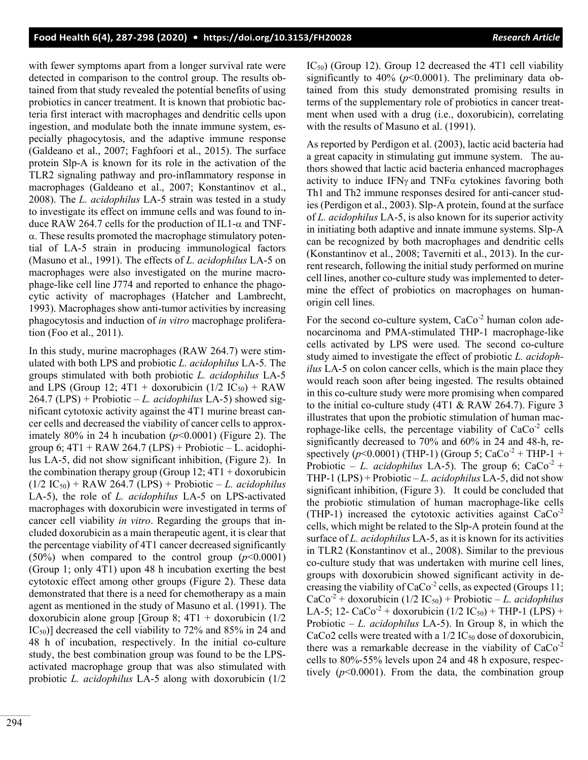with fewer symptoms apart from a longer survival rate were detected in comparison to the control group. The results obtained from that study revealed the potential benefits of using probiotics in cancer treatment. It is known that probiotic bacteria first interact with macrophages and dendritic cells upon ingestion, and modulate both the innate immune system, especially phagocytosis, and the adaptive immune response (Galdeano et al., 2007; Faghfoori et al., 2015). The surface protein Slp-A is known for its role in the activation of the TLR2 signaling pathway and pro-inflammatory response in macrophages (Galdeano et al., 2007; Konstantinov et al., 2008). The *L. acidophilus* LA-5 strain was tested in a study to investigate its effect on immune cells and was found to induce RAW 264.7 cells for the production of IL1- $\alpha$  and TNFα. These results promoted the macrophage stimulatory potential of LA-5 strain in producing immunological factors (Masuno et al., 1991). The effects of *L. acidophilus* LA-5 on macrophages were also investigated on the murine macrophage-like cell line J774 and reported to enhance the phagocytic activity of macrophages (Hatcher and Lambrecht, 1993). Macrophages show anti-tumor activities by increasing phagocytosis and induction of *in vitro* macrophage proliferation (Foo et al., 2011).

In this study, murine macrophages (RAW 264.7) were stimulated with both LPS and probiotic *L. acidophilus* LA-5*.* The groups stimulated with both probiotic *L. acidophilus* LA-5 and LPS (Group 12;  $4T1 +$  doxorubicin (1/2 IC<sub>50</sub>) + RAW 264.7 (LPS) + Probiotic – *L. acidophilus* LA-5) showed significant cytotoxic activity against the 4T1 murine breast cancer cells and decreased the viability of cancer cells to approximately 80% in 24 h incubation (*p*<0.0001) (Figure 2). The group 6;  $4T1 + RAW 264.7 (LPS) + Probiotic - L. acidophi$ lus LA-5, did not show significant inhibition, (Figure 2). In the combination therapy group (Group  $12$ ;  $4T1 +$  doxorubicin  $(1/2 IC_{50}) + RAW 264.7 (LPS) + Probability - L. acidophilus$ LA-5), the role of *L. acidophilus* LA-5 on LPS-activated macrophages with doxorubicin were investigated in terms of cancer cell viability *in vitro*. Regarding the groups that included doxorubicin as a main therapeutic agent, it is clear that the percentage viability of 4T1 cancer decreased significantly  $(50\%)$  when compared to the control group  $(p<0.0001)$ (Group 1; only 4T1) upon 48 h incubation exerting the best cytotoxic effect among other groups (Figure 2). These data demonstrated that there is a need for chemotherapy as a main agent as mentioned in the study of Masuno et al. (1991). The doxorubicin alone group [Group 8;  $4T1 +$  doxorubicin (1/2) IC50)] decreased the cell viability to 72% and 85% in 24 and 48 h of incubation, respectively. In the initial co-culture study, the best combination group was found to be the LPSactivated macrophage group that was also stimulated with probiotic *L. acidophilus* LA-5 along with doxorubicin (1/2 IC50) (Group 12). Group 12 decreased the 4T1 cell viability significantly to  $40\%$  ( $p<0.0001$ ). The preliminary data obtained from this study demonstrated promising results in terms of the supplementary role of probiotics in cancer treatment when used with a drug (i.e., doxorubicin), correlating with the results of Masuno et al. (1991).

As reported by Perdigon et al. (2003), lactic acid bacteria had a great capacity in stimulating gut immune system. The authors showed that lactic acid bacteria enhanced macrophages activity to induce IFN<sub>γ</sub> and TNF $\alpha$  cytokines favoring both Th1 and Th2 immune responses desired for anti-cancer studies (Perdigon et al., 2003). Slp-A protein, found at the surface of *L. acidophilus* LA-5, is also known for its superior activity in initiating both adaptive and innate immune systems. Slp-A can be recognized by both macrophages and dendritic cells (Konstantinov et al., 2008; Taverniti et al., 2013). In the current research, following the initial study performed on murine cell lines, another co-culture study was implemented to determine the effect of probiotics on macrophages on humanorigin cell lines.

For the second co-culture system,  $CaCo<sup>-2</sup>$  human colon adenocarcinoma and PMA-stimulated THP-1 macrophage-like cells activated by LPS were used. The second co-culture study aimed to investigate the effect of probiotic *L. acidophilus* LA-5 on colon cancer cells, which is the main place they would reach soon after being ingested. The results obtained in this co-culture study were more promising when compared to the initial co-culture study (4T1 & RAW 264.7). Figure 3 illustrates that upon the probiotic stimulation of human macrophage-like cells, the percentage viability of  $CaCo<sup>-2</sup>$  cells significantly decreased to 70% and 60% in 24 and 48-h, respectively ( $p$ <0.0001) (THP-1) (Group 5; CaCo<sup>-2</sup> + THP-1 + Probiotic – *L. acidophilus* LA-5). The group 6;  $CaCo<sup>2</sup> +$ THP-1 (LPS) + Probiotic – *L. acidophilus* LA-5, did not show significant inhibition, (Figure 3). It could be concluded that the probiotic stimulation of human macrophage-like cells (THP-1) increased the cytotoxic activities against  $CaCo<sup>2</sup>$ cells, which might be related to the Slp-A protein found at the surface of *L. acidophilus* LA-5, as it is known for its activities in TLR2 (Konstantinov et al., 2008). Similar to the previous co-culture study that was undertaken with murine cell lines, groups with doxorubicin showed significant activity in decreasing the viability of  $CaCo<sup>2</sup>$  cells, as expected (Groups 11;  $CaCo<sup>2</sup> + doxorubicin (1/2 IC<sub>50</sub>) + Probiotic – *L. acidophilus*$ LA-5; 12- CaCo<sup>-2</sup> + doxorubicin (1/2 IC<sub>50</sub>) + THP-1 (LPS) + Probiotic – *L. acidophilus* LA-5). In Group 8, in which the CaCo2 cells were treated with a  $1/2$  IC<sub>50</sub> dose of doxorubicin, there was a remarkable decrease in the viability of  $CaCo<sup>-2</sup>$ cells to 80%-55% levels upon 24 and 48 h exposure, respectively  $(p<0.0001)$ . From the data, the combination group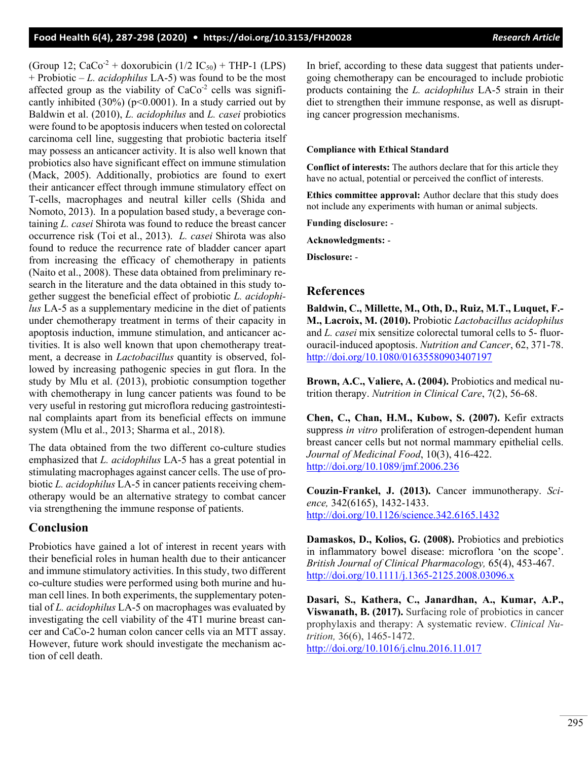(Group 12;  $CaCo<sup>2</sup> + doxorubicin (1/2 IC<sub>50</sub>) + THP-1 (LPS)$ + Probiotic – *L. acidophilus* LA-5) was found to be the most affected group as the viability of  $CaCo<sup>2</sup>$  cells was significantly inhibited  $(30\%)$  (p<0.0001). In a study carried out by Baldwin et al. (2010), *L. acidophilus* and *L. casei* probiotics were found to be apoptosis inducers when tested on colorectal carcinoma cell line, suggesting that probiotic bacteria itself may possess an anticancer activity. It is also well known that probiotics also have significant effect on immune stimulation (Mack, 2005). Additionally, probiotics are found to exert their anticancer effect through immune stimulatory effect on T-cells, macrophages and neutral killer cells (Shida and Nomoto, 2013). In a population based study, a beverage containing *L. casei* Shirota was found to reduce the breast cancer occurrence risk (Toi et al., 2013). *L. casei* Shirota was also found to reduce the recurrence rate of bladder cancer apart from increasing the efficacy of chemotherapy in patients (Naito et al., 2008). These data obtained from preliminary research in the literature and the data obtained in this study together suggest the beneficial effect of probiotic *L. acidophilus* LA-5 as a supplementary medicine in the diet of patients under chemotherapy treatment in terms of their capacity in apoptosis induction, immune stimulation, and anticancer activities. It is also well known that upon chemotherapy treatment, a decrease in *Lactobacillus* quantity is observed, followed by increasing pathogenic species in gut flora. In the study by Mlu et al. (2013), probiotic consumption together with chemotherapy in lung cancer patients was found to be very useful in restoring gut microflora reducing gastrointestinal complaints apart from its beneficial effects on immune system (Mlu et al., 2013; Sharma et al., 2018).

The data obtained from the two different co-culture studies emphasized that *L. acidophilus* LA-5 has a great potential in stimulating macrophages against cancer cells. The use of probiotic *L. acidophilus* LA-5 in cancer patients receiving chemotherapy would be an alternative strategy to combat cancer via strengthening the immune response of patients.

# **Conclusion**

Probiotics have gained a lot of interest in recent years with their beneficial roles in human health due to their anticancer and immune stimulatory activities. In this study, two different co-culture studies were performed using both murine and human cell lines. In both experiments, the supplementary potential of *L. acidophilus* LA-5 on macrophages was evaluated by investigating the cell viability of the 4T1 murine breast cancer and CaCo-2 human colon cancer cells via an MTT assay. However, future work should investigate the mechanism action of cell death.

In brief, according to these data suggest that patients undergoing chemotherapy can be encouraged to include probiotic products containing the *L. acidophilus* LA-5 strain in their diet to strengthen their immune response, as well as disrupting cancer progression mechanisms.

#### **Compliance with Ethical Standard**

**Conflict of interests:** The authors declare that for this article they have no actual, potential or perceived the conflict of interests.

**Ethics committee approval:** Author declare that this study does not include any experiments with human or animal subjects.

**Funding disclosure:** -

**Acknowledgments:** -

**Disclosure:** -

# **References**

**Baldwin, C., Millette, M., Oth, D., Ruiz, M.T., Luquet, F.- M., Lacroix, M. (2010).** Probiotic *Lactobacillus acidophilus*  and *L. casei* mix sensitize colorectal tumoral cells to 5- fluorouracil-induced apoptosis. *Nutrition and Cancer*, 62, 371-78. <http://doi.org/10.1080/01635580903407197>

**Brown, A.C., Valiere, A. (2004).** Probiotics and medical nutrition therapy. *Nutrition in Clinical Care*, 7(2), 56-68.

**Chen, C., Chan, H.M., Kubow, S. (2007).** Kefir extracts suppress *in vitro* proliferation of estrogen-dependent human breast cancer cells but not normal mammary epithelial cells. *Journal of Medicinal Food*, 10(3), 416-422. <http://doi.org/10.1089/jmf.2006.236>

**Couzin-Frankel, J. (2013).** Cancer immunotherapy. *Science,* 342(6165), 1432-1433. <http://doi.org/10.1126/science.342.6165.1432>

**Damaskos, D., Kolios, G. (2008).** Probiotics and prebiotics in inflammatory bowel disease: microflora 'on the scope'. *British Journal of Clinical Pharmacology,* 65(4), 453-467. <http://doi.org/10.1111/j.1365-2125.2008.03096.x>

**Dasari, S., Kathera, C., Janardhan, A., Kumar, A.P., Viswanath, B. (2017).** Surfacing role of probiotics in cancer prophylaxis and therapy: A systematic review. *Clinical Nutrition,* 36(6), 1465-1472. <http://doi.org/10.1016/j.clnu.2016.11.017>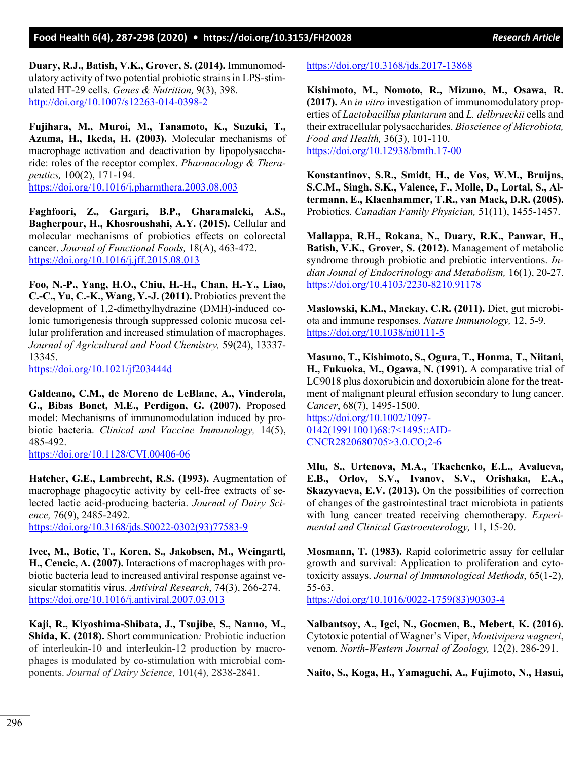**Duary, R.J., Batish, V.K., Grover, S. (2014).** Immunomodulatory activity of two potential probiotic strains in LPS-stimulated HT-29 cells. *Genes & Nutrition,* 9(3), 398. <http://doi.org/10.1007/s12263-014-0398-2>

**Fujihara, M., Muroi, M., Tanamoto, K., Suzuki, T., Azuma, H., Ikeda, H. (2003).** Molecular mechanisms of macrophage activation and deactivation by lipopolysaccharide: roles of the receptor complex. *Pharmacology & Therapeutics,* 100(2), 171-194.

<https://doi.org/10.1016/j.pharmthera.2003.08.003>

**Faghfoori, Z., Gargari, B.P., Gharamaleki, A.S., Bagherpour, H., Khosroushahi, A.Y. (2015).** Cellular and molecular mechanisms of probiotics effects on colorectal cancer. *Journal of Functional Foods,* 18(A), 463-472. <https://doi.org/10.1016/j.jff.2015.08.013>

**Foo, N.-P., Yang, H.O., Chiu, H.-H., Chan, H.-Y., Liao, C.-C., Yu, C.-K., Wang, Y.-J. (2011).** Probiotics prevent the development of 1,2-dimethylhydrazine (DMH)-induced colonic tumorigenesis through suppressed colonic mucosa cellular proliferation and increased stimulation of macrophages. *Journal of Agricultural and Food Chemistry,* 59(24), 13337- 13345.

<https://doi.org/10.1021/jf203444d>

**Galdeano, C.M., de Moreno de LeBlanc, A., Vinderola, G., Bibas Bonet, M.E., Perdigon, G. (2007).** Proposed model: Mechanisms of immunomodulation induced by probiotic bacteria. *Clinical and Vaccine Immunology,* 14(5), 485-492.

<https://doi.org/10.1128/CVI.00406-06>

**Hatcher, G.E., Lambrecht, R.S. (1993).** Augmentation of macrophage phagocytic activity by cell-free extracts of selected lactic acid-producing bacteria. *Journal of Dairy Science,* 76(9), 2485-2492. [https://doi.org/10.3168/jds.S0022-0302\(93\)77583-9](https://doi.org/10.3168/jds.S0022-0302(93)77583-9)

**Ivec, M., Botic, T., Koren, S., Jakobsen, M., Weingartl, H., Cencic, A. (2007).** Interactions of macrophages with probiotic bacteria lead to increased antiviral response against vesicular stomatitis virus. *Antiviral Research*, 74(3), 266-274. <https://doi.org/10.1016/j.antiviral.2007.03.013>

**Kaji, R., Kiyoshima-Shibata, J., Tsujibe, S., Nanno, M., Shida, K. (2018).** Short communication*:* Probiotic induction of interleukin-10 and interleukin-12 production by macrophages is modulated by co-stimulation with microbial components. *Journal of Dairy Science,* 101(4), 2838-2841.

#### <https://doi.org/10.3168/jds.2017-13868>

**Kishimoto, M., Nomoto, R., Mizuno, M., Osawa, R. (2017).** An *in vitro* investigation of immunomodulatory properties of *Lactobacillus plantarum* and *L. delbrueckii* cells and their extracellular polysaccharides. *Bioscience of Microbiota, Food and Health,* 36(3), 101-110. <https://doi.org/10.12938/bmfh.17-00>

**Konstantinov, S.R., Smidt, H., de Vos, W.M., Bruijns, S.C.M., Singh, S.K., Valence, F., Molle, D., Lortal, S., Altermann, E., Klaenhammer, T.R., van Mack, D.R. (2005).** Probiotics. *Canadian Family Physician,* 51(11), 1455-1457.

**Mallappa, R.H., Rokana, N., Duary, R.K., Panwar, H., Batish, V.K., Grover, S. (2012).** Management of metabolic syndrome through probiotic and prebiotic interventions. *Indian Jounal of Endocrinology and Metabolism,* 16(1), 20-27. <https://doi.org/10.4103/2230-8210.91178>

**Maslowski, K.M., Mackay, C.R. (2011).** Diet, gut microbiota and immune responses. *Nature Immunology,* 12, 5-9. <https://doi.org/10.1038/ni0111-5>

**Masuno, T., Kishimoto, S., Ogura, T., Honma, T., Niitani, H., Fukuoka, M., Ogawa, N. (1991).** A comparative trial of LC9018 plus doxorubicin and doxorubicin alone for the treatment of malignant pleural effusion secondary to lung cancer. *Cancer*, 68(7), 1495-1500. [https://doi.org/10.1002/1097-](https://doi.org/10.1002/1097-0142(19911001)68:7%3c1495::AID-CNCR2820680705%3e3.0.CO;2-6) [0142\(19911001\)68:7<1495::AID](https://doi.org/10.1002/1097-0142(19911001)68:7%3c1495::AID-CNCR2820680705%3e3.0.CO;2-6)-[CNCR2820680705>3.0.CO;2](https://doi.org/10.1002/1097-0142(19911001)68:7%3c1495::AID-CNCR2820680705%3e3.0.CO;2-6)-6

**Mlu, S., Urtenova, M.A., Tkachenko, E.L., Avalueva, E.B., Orlov, S.V., Ivanov, S.V., Orishaka, E.A., Skazyvaeva, E.V. (2013).** On the possibilities of correction of changes of the gastrointestinal tract microbiota in patients with lung cancer treated receiving chemotherapy. *Experimental and Clinical Gastroenterology,* 11, 15-20.

**Mosmann, T. (1983).** Rapid colorimetric assay for cellular growth and survival: Application to proliferation and cytotoxicity assays. *Journal of Immunological Methods*, 65(1-2), 55-63.

[https://doi.org/10.1016/0022-1759\(83\)90303-4](https://doi.org/10.1016/0022-1759(83)90303-4)

**Nalbantsoy, A., Igci, N., Gocmen, B., Mebert, K. (2016).** Cytotoxic potential of Wagner's Viper, *Montivipera wagneri*, venom. *North-Western Journal of Zoology,* 12(2), 286-291.

**Naito, S., Koga, H., Yamaguchi, A., Fujimoto, N., Hasui,**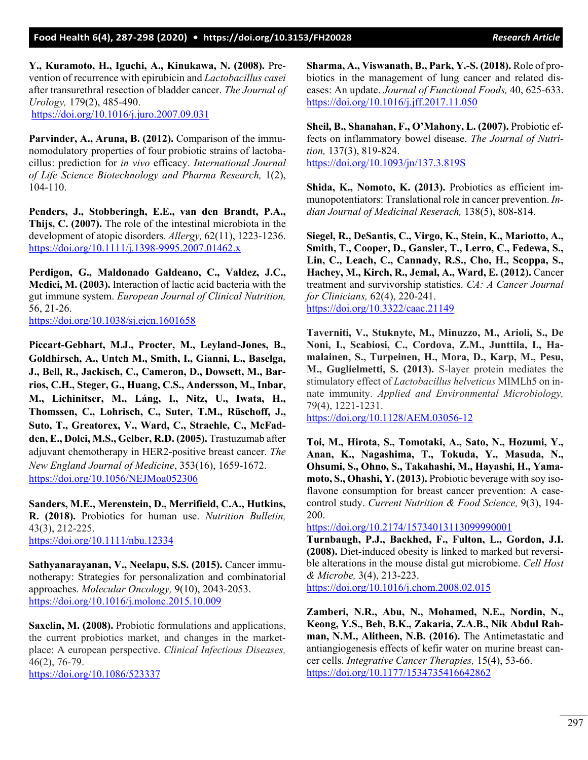**Y., Kuramoto, H., Iguchi, A., Kinukawa, N. (2008).** Prevention of recurrence with epirubicin and *Lactobacillus casei*  after transurethral resection of bladder cancer. *The Journal of Urology,* 179(2), 485-490. <https://doi.org/10.1016/j.juro.2007.09.031>

**Parvinder, A., Aruna, B. (2012).** Comparison of the immunomodulatory properties of four probiotic strains of lactobacillus: prediction for *in vivo* efficacy. *International Journal of Life Science Biotechnology and Pharma Research,* 1(2), 104-110.

**Penders, J., Stobberingh, E.E., van den Brandt, P.A., Thijs, C. (2007).** The role of the intestinal microbiota in the development of atopic disorders. *Allergy,* 62(11), 1223-1236. <https://doi.org/10.1111/j.1398-9995.2007.01462.x>

**Perdigon, G., Maldonado Galdeano, C., Valdez, J.C., Medici, M. (2003).** Interaction of lactic acid bacteria with the gut immune system. *European Journal of Clinical Nutrition,*  56, 21-26. <https://doi.org/10.1038/sj.ejcn.1601658>

**Piccart-Gebhart, M.J., Procter, M., Leyland-Jones, B., Goldhirsch, A., Untch M., Smith, I., Gianni, L., Baselga, J., Bell, R., Jackisch, C., Cameron, D., Dowsett, M., Barrios, C.H., Steger, G., Huang, C.S., Andersson, M., Inbar, M., Lichinitser, M., Láng, I., Nitz, U., Iwata, H., Thomssen, C., Lohrisch, C., Suter, T.M., Rüschoff, J., Suto, T., Greatorex, V., Ward, C., Straehle, C., McFadden, E., Dolci, M.S., Gelber, R.D. (2005).** Trastuzumab after adjuvant chemotherapy in HER2-positive breast cancer. *The New England Journal of Medicine*, 353(16), 1659-1672. <https://doi.org/10.1056/NEJMoa052306>

**Sanders, M.E., Merenstein, D., Merrifield, C.A., Hutkins, R. (2018).** Probiotics for human use. *Nutrition Bulletin,* 43(3), 212-225. <https://doi.org/10.1111/nbu.12334>

**Sathyanarayanan, V., Neelapu, S.S. (2015).** Cancer immunotherapy: Strategies for personalization and combinatorial approaches. *Molecular Oncology,* 9(10), 2043-2053. <https://doi.org/10.1016/j.molonc.2015.10.009>

**Saxelin, M. (2008).** Probiotic formulations and applications, the current probiotics market, and changes in the marketplace: A european perspective. *Clinical Infectious Diseases,* 46(2), 76-79.

<https://doi.org/10.1086/523337>

**Sharma, A., Viswanath, B., Park, Y.-S. (2018).** Role of probiotics in the management of lung cancer and related diseases: An update. *Journal of Functional Foods,* 40, 625-633. <https://doi.org/10.1016/j.jff.2017.11.050>

**Sheil, B., Shanahan, F., O'Mahony, L. (2007).** Probiotic effects on inflammatory bowel disease. *The Journal of Nutrition,* 137(3), 819-824. <https://doi.org/10.1093/jn/137.3.819S>

**Shida, K., Nomoto, K. (2013).** Probiotics as efficient immunopotentiators: Translational role in cancer prevention. *Indian Journal of Medicinal Reserach,* 138(5), 808-814.

**Siegel, R., DeSantis, C., Virgo, K., Stein, K., Mariotto, A., Smith, T., Cooper, D., Gansler, T., Lerro, C., Fedewa, S., Lin, C., Leach, C., Cannady, R.S., Cho, H., Scoppa, S., Hachey, M., Kirch, R., Jemal, A., Ward, E. (2012).** Cancer treatment and survivorship statistics. *CA: A Cancer Journal for Clinicians,* 62(4), 220-241. <https://doi.org/10.3322/caac.21149>

**Taverniti, V., Stuknyte, M., Minuzzo, M., Arioli, S., De Noni, I., Scabiosi, C., Cordova, Z.M., Junttila, I., Hamalainen, S., Turpeinen, H., Mora, D., Karp, M., Pesu, M., Guglielmetti, S. (2013).** S-layer protein mediates the stimulatory effect of *Lactobacillus helveticus* MIMLh5 on innate immunity. *Applied and Environmental Microbiology,* 79(4), 1221-1231.

<https://doi.org/10.1128/AEM.03056-12>

**Toi, M., Hirota, S., Tomotaki, A., Sato, N., Hozumi, Y., Anan, K., Nagashima, T., Tokuda, Y., Masuda, N., Ohsumi, S., Ohno, S., Takahashi, M., Hayashi, H., Yamamoto, S., Ohashi, Y. (2013).** Probiotic beverage with soy isoflavone consumption for breast cancer prevention: A casecontrol study. *Current Nutrition & Food Science,* 9(3), 194- 200.

<https://doi.org/10.2174/15734013113099990001>

**Turnbaugh, P.J., Backhed, F., Fulton, L., Gordon, J.I. (2008).** Diet-induced obesity is linked to marked but reversible alterations in the mouse distal gut microbiome. *Cell Host & Microbe,* 3(4), 213-223. <https://doi.org/10.1016/j.chom.2008.02.015>

**Zamberi, N.R., Abu, N., Mohamed, N.E., Nordin, N., Keong, Y.S., Beh, B.K., Zakaria, Z.A.B., Nik Abdul Rahman, N.M., Alitheen, N.B. (2016).** The Antimetastatic and antiangiogenesis effects of kefir water on murine breast cancer cells. *Integrative Cancer Therapies,* 15(4), 53-66. <https://doi.org/10.1177/1534735416642862>